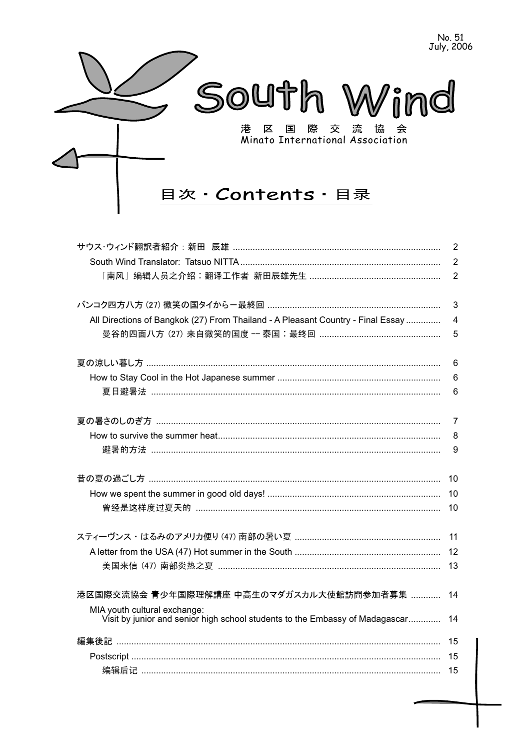

|                                                                                                              | $\overline{2}$ |
|--------------------------------------------------------------------------------------------------------------|----------------|
|                                                                                                              | $\overline{2}$ |
|                                                                                                              | $\overline{2}$ |
|                                                                                                              | 3              |
| All Directions of Bangkok (27) From Thailand - A Pleasant Country - Final Essay                              | $\overline{4}$ |
|                                                                                                              | 5              |
|                                                                                                              | 6              |
|                                                                                                              | 6              |
|                                                                                                              | 6              |
|                                                                                                              | $\overline{7}$ |
|                                                                                                              | 8              |
|                                                                                                              | 9              |
|                                                                                                              | 10             |
|                                                                                                              | 10             |
|                                                                                                              | 10             |
|                                                                                                              | 11             |
|                                                                                                              | 12             |
| 美国来信 (47) 南部炎热之夏 ………………………………………………………………………………                                                              | 13             |
| 港区国際交流協会 青少年国際理解講座 中高生のマダガスカル大使館訪問参加者募集                                                                      | 14             |
| MIA youth cultural exchange:<br>Visit by junior and senior high school students to the Embassy of Madagascar | 14             |
|                                                                                                              | 15             |
|                                                                                                              | 15             |
|                                                                                                              | 15             |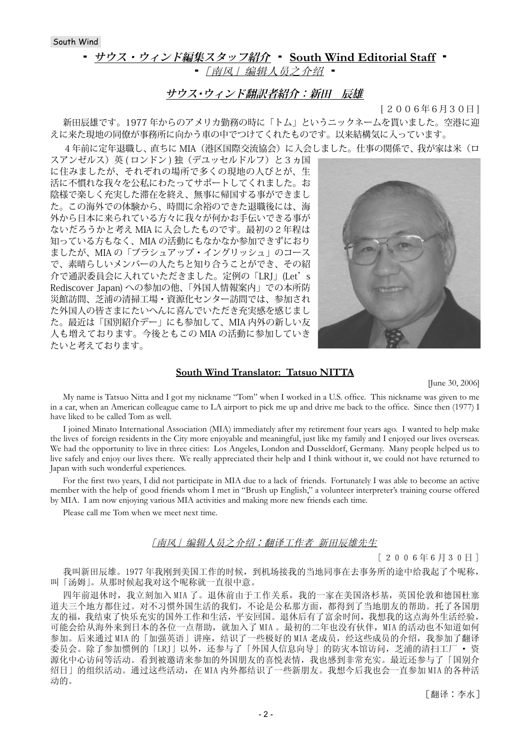South Wind

# **▪ サウス・ウィンド編集スタッフ紹介 ▪ South Wind Editorial Staff ▪**

■ 「南风」编辑人员之介绍 ■

# **サウス・ウィンド翻訳者紹介:新田 辰雄**

[ 2006年6月30日 ]

新田辰雄です。1977 年からのアメリカ勤務の時に「トム」というニックネームを貰いました。空港に迎 えに来た現地の同僚が事務所に向かう車の中でつけてくれたものです。以来結構気に入っています。

4年前に定年退職し、直ちに MIA(港区国際交流協会)に入会しました。仕事の関係で、我が家は米(ロ

スアンゼルス)英(ロンドン)独(デユッセルドルフ)と3ヵ国 に住みましたが、それぞれの場所で多くの現地の人びとが、生 活に不慣れな我々を公私にわたってサポートしてくれました。お 陰様で楽しく充実した滞在を終え、無事に帰国する事ができまし た。この海外での体験から、時間に余裕のできた退職後には、海 外から日本に来られている方々に我々が何かお手伝いできる事が ないだろうかと考え MIA に入会したものです。最初の2年程は 知っている方もなく、MIA の活動にもなかなか参加できずにおり ましたが、MIA の「ブラシュアップ・イングリッシュ」のコース で、素晴らしいメンバーの人たちと知り合うことができ、その紹 介で通訳委員会に入れていただきました。定例の「LRJ」(Let's Rediscover Japan) への参加の他、「外国人情報案内」での本所防 災館訪問、芝浦の清掃工場・資源化センター訪問では、参加され た外国人の皆さまにたいへんに喜んでいただき充実感を感じまし た。最近は「国別紹介デー」にも参加して、MIA 内外の新しい友 人も増えております。今後ともこの MIA の活動に参加していき たいと考えております。



#### **South Wind Translator: Tatsuo NITTA**

[June 30, 2006]

My name is Tatsuo Nitta and I got my nickname "Tom" when I worked in a U.S. office. This nickname was given to me in a car, when an American colleague came to LA airport to pick me up and drive me back to the office. Since then (1977) I have liked to be called Tom as well.

I joined Minato International Association (MIA) immediately after my retirement four years ago. I wanted to help make the lives of foreign residents in the City more enjoyable and meaningful, just like my family and I enjoyed our lives overseas. We had the opportunity to live in three cities: Los Angeles, London and Dusseldorf, Germany. Many people helped us to live safely and enjoy our lives there. We really appreciated their help and I think without it, we could not have returned to Japan with such wonderful experiences.

For the first two years, I did not participate in MIA due to a lack of friends. Fortunately I was able to become an active member with the help of good friends whom I met in "Brush up English," a volunteer interpreter's training course offered by MIA. I am now enjoying various MIA activities and making more new friends each time.

Please call me Tom when we meet next time.

#### [南风] 编辑人员之介绍:翻译工作者 新田辰雄先生

 $[2006年6月30日]$ 

我叫新田辰雄。1977年我刚到美国工作的时候,到机场接我的当地同事在去事务所的途中给我起了个呢称, 叫「汤姆」。从那时候起我对这个呢称就一直很中意。

四年前退休时, 我立刻加入 MIA 了。退休前由于工作关系, 我的一家在美国洛杉基, 英国伦敦和德国杜塞 道夫三个地方都住过。对不习惯外国生活的我们,不论是公私那方面,都得到了当地朋友的帮助。托了各国朋 友的福,我结束了快乐充实的国外工作和生活,平安回国。退休后有了富余时间,我想我的这点海外生活经验, 可能会给从海外来到日本的各位一点帮助,就加入了MIA。最初的二年也没有伙伴,MIA 的活动也不知道如何 参加。后来通过 MIA 的「加强英语」讲座, 结识了一些极好的 MIA 老成员, 经这些成员的介绍, 我参加了翻译 委员会。除了参加惯例的「LRJ」以外,还参与了「外国人信息向导」的防灾本馆访问,芝浦的清扫工厂 • 资 源化中心访问等活动。看到被邀请来参加的外国朋友的喜悦表情,我也感到非常充实。最近还参与了「国别介 绍日 | 的组织活动。通过这些活动, 在 MIA 内外都结识了一些新朋友。我想今后我也会一直参加 MIA 的各种活 动的。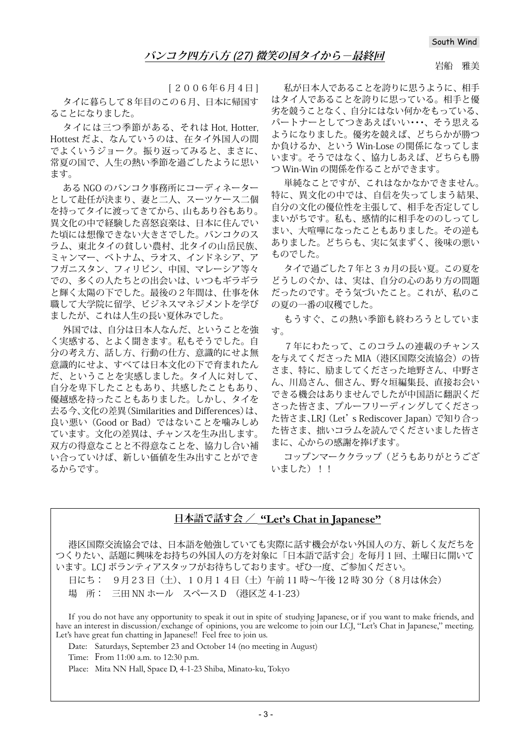[ 2006年6月4日 ] タイに暮らして8年目のこの6月、日本に帰国す ることになりました。

タイには三つ季節がある、それは Hot, Hotter, Hottest だよ、なんていうのは、在タイ外国人の間 でよくいうジョーク。振り返ってみると、まさに、 常夏の国で、人生の熱い季節を過ごしたように思い ます。

ある NGO のバンコク事務所にコーディネーター として赴任が決まり、妻と二人、スーツケース二個 を持ってタイに渡ってきてから、山もあり谷もあり。 異文化の中で経験した喜怒哀楽は、日本に住んでい た頃には想像できない大きさでした。バンコクのス ラム、東北タイの貧しい農村、北タイの山岳民族、 ミャンマー、ベトナム、ラオス、インドネシア、ア フガニスタン、フィリピン、中国、マレーシア等々 での、多くの人たちとの出会いは、いつもギラギラ と輝く太陽の下でした。最後の2年間は、仕事を休 職して大学院に留学、ビジネスマネジメントを学び ましたが、これは人生の長い夏休みでした。

外国では、自分は日本人なんだ、ということを強 く実感する、とよく聞きます。私もそうでした。自 分の考え方、話し方、行動の仕方、意識的にせよ無 意識的にせよ、すべては日本文化の下で育まれたん だ、ということを実感しました。タイ人に対して、 自分を卑下したこともあり、共感したこともあり、 優越感を持ったこともありました。しかし、タイを 去る今、文化の差異(Similarities and Differences)は、 良い悪い(Good or Bad)ではないことを噛みしめ ています。文化の差異は、チャンスを生み出します。 双方の得意なことと不得意なことを、協力し合い補 い合っていけば、新しい価値を生み出すことができ るからです。

私が日本人であることを誇りに思うように、相手 はタイ人であることを誇りに思っている。相手と優 劣を競うことなく、自分にはない何かをもっている、 パートナーとしてつきあえばいい・・・、そう思える ようになりました。優劣を競えば、どちらかが勝つ か負けるか、という Win-Lose の関係になってしま います。そうではなく、協力しあえば、どちらも勝 つ Win-Win の関係を作ることができます。

単純なことですが、これはなかなかできません。 特に、異文化の中では、自信を失ってしまう結果、 自分の文化の優位性を主張して、相手を否定してし まいがちです。私も、感情的に相手をののしってし まい、大喧嘩になったこともありました。その逆も ありました。どちらも、実に気まずく、後味の悪い ものでした。

タイで過ごした7年と3ヵ月の長い夏。この夏を どうしのぐか、は、実は、自分の心のあり方の問題 だったのです。そう気づいたこと。これが、私のこ の夏の一番の収穫でした。

もうすぐ、この熱い季節も終わろうとしていま す。

7年にわたって、このコラムの連載のチャンス を与えてくださった MIA(港区国際交流協会)の皆 さま、特に、励ましてくださった地野さん、中野さ ん、川島さん、佃さん、野々垣編集長、直接お会い できる機会はありませんでしたが中国語に翻訳くだ さった皆さま、プルーフリーディングしてくださっ た皆さま、LRJ(Let's Rediscover Japan)で知り合っ た皆さま、拙いコラムを読んでくださいました皆さ まに、心からの感謝を捧げます。

コップンマーククラップ(どうもありがとうござ いました) !!

# **日本語で話す会 / "Let's Chat in Japanese"**

港区国際交流協会では、日本語を勉強していても実際に話す機会がない外国人の方、新しく友だちを つくりたい、話題に興味をお持ちの外国人の方を対象に「日本語で話す会」を毎月1回、土曜日に開いて います。LCJ ボランティアスタッフがお待ちしております。ぜひ一度、ご参加ください。

日にち: 9月23 日(土)、10月14日(土)午前 11 時~午後 12 時 30 分(8月は休会)

場 所: 三田 NN ホール スペース D (港区芝 4-1-23)

If you do not have any opportunity to speak it out in spite of studying Japanese, or if you want to make friends, and have an interest in discussion/exchange of opinions, you are welcome to join our LCJ, "Let's Chat in Japanese," meeting. Let's have great fun chatting in Japanese!! Feel free to join us.

Date: Saturdays, September 23 and October 14 (no meeting in August)

Time: From 11:00 a.m. to 12:30 p.m.

Place: Mita NN Hall, Space D, 4-1-23 Shiba, Minato-ku, Tokyo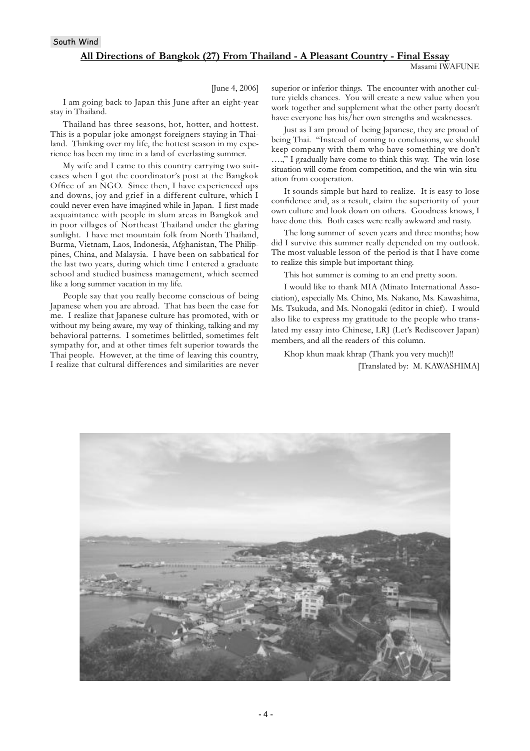#### South Wind

#### **All Directions of Bangkok (27) From Thailand - A Pleasant Country - Final Essay**

#### [June 4, 2006]

I am going back to Japan this June after an eight-year stay in Thailand.

Thailand has three seasons, hot, hotter, and hottest. This is a popular joke amongst foreigners staying in Thailand. Thinking over my life, the hottest season in my experience has been my time in a land of everlasting summer.

My wife and I came to this country carrying two suitcases when I got the coordinator's post at the Bangkok Office of an NGO. Since then, I have experienced ups and downs, joy and grief in a different culture, which I could never even have imagined while in Japan. I first made acquaintance with people in slum areas in Bangkok and in poor villages of Northeast Thailand under the glaring sunlight. I have met mountain folk from North Thailand, Burma, Vietnam, Laos, Indonesia, Afghanistan, The Philippines, China, and Malaysia. I have been on sabbatical for the last two years, during which time I entered a graduate school and studied business management, which seemed like a long summer vacation in my life.

People say that you really become conscious of being Japanese when you are abroad. That has been the case for me. I realize that Japanese culture has promoted, with or without my being aware, my way of thinking, talking and my behavioral patterns. I sometimes belittled, sometimes felt sympathy for, and at other times felt superior towards the Thai people. However, at the time of leaving this country, I realize that cultural differences and similarities are never

superior or inferior things. The encounter with another culture yields chances. You will create a new value when you work together and supplement what the other party doesn't have: everyone has his/her own strengths and weaknesses.

Just as I am proud of being Japanese, they are proud of being Thai. "Instead of coming to conclusions, we should keep company with them who have something we don't ….," I gradually have come to think this way. The win-lose situation will come from competition, and the win-win situation from cooperation.

It sounds simple but hard to realize. It is easy to lose confidence and, as a result, claim the superiority of your own culture and look down on others. Goodness knows, I have done this. Both cases were really awkward and nasty.

The long summer of seven years and three months; how did I survive this summer really depended on my outlook. The most valuable lesson of the period is that I have come to realize this simple but important thing.

This hot summer is coming to an end pretty soon.

I would like to thank MIA (Minato International Association), especially Ms. Chino, Ms. Nakano, Ms. Kawashima, Ms. Tsukuda, and Ms. Nonogaki (editor in chief). I would also like to express my gratitude to the people who translated my essay into Chinese, LRJ (Let's Rediscover Japan) members, and all the readers of this column.

Khop khun maak khrap (Thank you very much)!! [Translated by: M. KAWASHIMA]

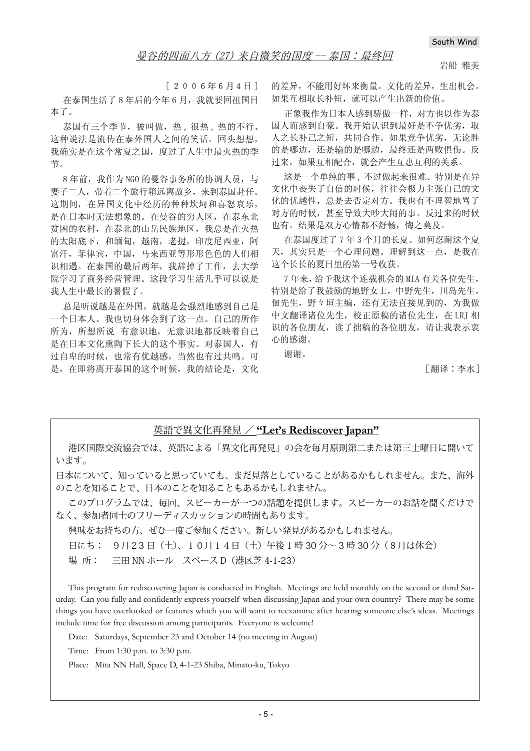岩船 雅美

 $[2006年6月4日]$ 在泰国生活了8年后的今年6月,我就要回祖国日 本了。

泰国有三个季节, 被叫做, 热, 很热, 热的不行、 这种说法是流传在泰外国人之间的笑话。回头想想, 我确实是在这个常夏之国, 度过了人生中最火热的季 节。

8 年前, 我作为 NGO 的曼谷事务所的协调人员, 与 妻子二人, 带着二个旅行箱远离故乡, 来到泰国赴任。 这期间, 在异国文化中经历的种种坎坷和喜怒哀乐, 是在日本时无法想象的。在曼谷的穷人区, 在泰东北 贫困的农村, 在泰北的山岳民族地区, 我总是在火热 的太阳底下, 和缅甸, 越南, 老挝, 印度尼西亚, 阿 富汗, 菲律宾, 中国, 马来西亚等形形色色的人们相 识相遇。在泰国的最后两年, 我辞掉了工作, 去大学 院学习了商务经营管理。这段学习生活几乎可以说是 我人生中最长的暑假了。

总是听说越是在外国, 就越是会强烈地感到自己是 一个日本人。我也切身体会到了这一点。自己的所作 所为, 所想所说 有意识地, 无意识地都反映着自己 是在日本文化熏陶下长大的这个事实。对泰国人,有 过自卑的时候, 也常有优越感, 当然也有过共鸣。可 是, 在即将离开泰国的这个时候, 我的结论是, 文化 的差异,不能用好坏来衡量。文化的差异,生出机会。 如果互相取长补短, 就可以产生出新的价值。

正象我作为日本人感到骄傲一样, 对方也以作为泰 国人而感到自豪。我开始认识到最好是不争优劣, 取 人之长补己之短, 共同合作。如果竞争优劣, 无论胜 的是哪边, 还是输的是哪边, 最终还是两败俱伤。反 过来, 如果互相配合, 就会产生互惠互利的关系。

这是一个单纯的事,不过做起来很难。特别是在异 文化中丧失了自信的时候, 往往会极力主张自己的文 化的优越性, 总是去否定对方。我也有不理智地骂了 对方的时候, 甚至导致大吵大闹的事。反过来的时候 也有。结果是双方心情都不舒畅, 悔之莫及。

在泰国度过了7年3个月的长夏。如何忍耐这个夏 天, 其实只是一个心理问题。理解到这一点, 是我在 这个长长的夏日里的第一号收获。

 $7$ 年来,给予我这个连载机会的 MIA 有关各位先生, 特别是给了我鼓励的地野女士,中野先生,川岛先生, 佃先生, 野々垣主编, 还有无法直接见到的, 为我做 中文翻译诸位先生, 校正原稿的诸位先生, 在 LRJ 相 识的各位朋友, 读了拙稿的各位朋友, 请让我表示衷 心的感谢。

谢谢。

「翻译:李水ヿ

## 英語で異文化再発見 / **"Let's Rediscover Japan"**

港区国際交流協会では、英語による「異文化再発見」の会を毎月原則第二または第三土曜日に開いて います。

日本について、知っていると思っていても、まだ見落としていることがあるかもしれません。また、海外 のことを知ることで、日本のことを知ることもあるかもしれません。

このプログラムでは、毎回、スピーカーが一つの話題を提供します。スピーカーのお話を聞くだけで なく、参加者同士のフリーディスカッションの時間もあります。

興味をお持ちの方、ぜひ一度ご参加ください。新しい発見があるかもしれません。

日にち: 9月23 日(土)、10月14日(土)午後 1 時 30 分~ 3 時 30 分(8月は休会)

場 所: 三田 NN ホール スペース D(港区芝 4-1-23)

This program for rediscovering Japan is conducted in English. Meetings are held monthly on the second or third Saturday. Can you fully and confidently express yourself when discussing Japan and your own country? There may be some things you have overlooked or features which you will want to reexamine after hearing someone else's ideas. Meetings include time for free discussion among participants. Everyone is welcome!

Date: Saturdays, September 23 and October 14 (no meeting in August)

Time: From 1:30 p.m. to 3:30 p.m.

Place: Mita NN Hall, Space D, 4-1-23 Shiba, Minato-ku, Tokyo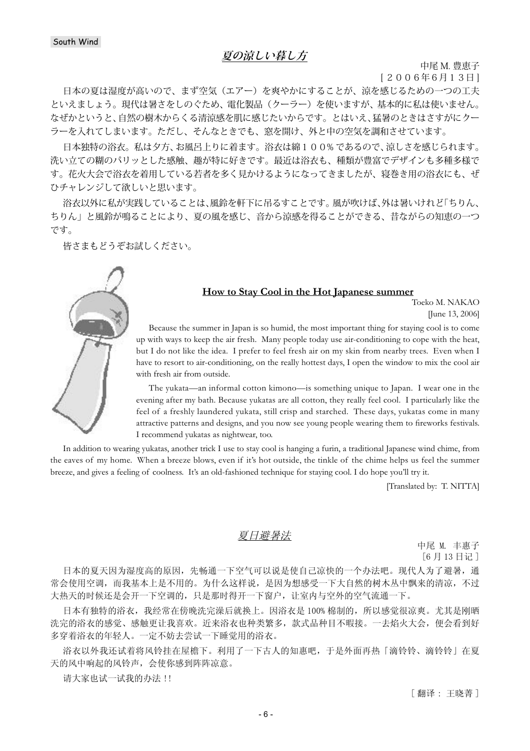# **夏の涼しい暮し方**

中尾 M. 豊恵子

[ 2006年6月13日 ]

日本の夏は湿度が高いので、まず空気(エアー)を爽やかにすることが、涼を感じるための一つの工夫 といえましょう。現代は暑さをしのぐため、電化製品(クーラー)を使いますが、基本的に私は使いません。 なぜかというと、自然の樹木からくる清涼感を肌に感じたいからです。とはいえ、猛暑のときはさすがにクー ラーを入れてしまいます。ただし、そんなときでも、窓を開け、外と中の空気を調和させています。

日本独特の浴衣。私は夕方、お風呂上りに着ます。浴衣は綿100% であるので、涼しさを感じられます。 洗い立ての糊のパリッとした感触、趣が特に好きです。最近は浴衣も、種類が豊富でデザインも多種多様で す。花火大会で浴衣を着用している若者を多く見かけるようになってきましたが、寝巻き用の浴衣にも、ぜ ひチャレンジして欲しいと思います。

浴衣以外に私が実践していることは、風鈴を軒下に吊るすことです。風が吹けば、外は暑いけれど「ちりん、 ちりん」と風鈴が鳴ることにより、夏の風を感じ、音から涼感を得ることができる、昔ながらの知恵の一つ です。

皆さまもどうぞお試しください。

# **How to Stay Cool in the Hot Japanese summer**

Toeko M. NAKAO [June 13, 2006]

Because the summer in Japan is so humid, the most important thing for staying cool is to come up with ways to keep the air fresh. Many people today use air-conditioning to cope with the heat, but I do not like the idea. I prefer to feel fresh air on my skin from nearby trees. Even when I have to resort to air-conditioning, on the really hottest days, I open the window to mix the cool air with fresh air from outside.

The yukata—an informal cotton kimono—is something unique to Japan. I wear one in the evening after my bath. Because yukatas are all cotton, they really feel cool. I particularly like the feel of a freshly laundered yukata, still crisp and starched. These days, yukatas come in many attractive patterns and designs, and you now see young people wearing them to fireworks festivals. I recommend yukatas as nightwear, too.

In addition to wearing yukatas, another trick I use to stay cool is hanging a furin, a traditional Japanese wind chime, from the eaves of my home. When a breeze blows, even if it's hot outside, the tinkle of the chime helps us feel the summer breeze, and gives a feeling of coolness. It's an old-fashioned technique for staying cool. I do hope you'll try it.

[Translated by: T. NITTA]

## 夏日避暑法

中尾 M. 丰惠子 [6月13日记]

日本的夏天因为湿度高的原因,先畅通一下空气可以说是使自己凉快的一个办法吧。现代人为了避暑,通 常会使用空调,而我基本上是不用的。为什么这样说,是因为想感受一下大自然的树木从中飘来的清凉,不过 大热天的时候还是会开一下空调的,只是那时得开一下窗户,让室内与空外的空气流通一下。

日本有独特的浴衣,我经常在傍晚洗完澡后就换上。因浴衣是100%棉制的,所以感觉很凉爽。尤其是刚晒 洗完的浴衣的感觉、感触更让我喜欢。近来浴衣也种类繁多,款式品种目不暇接。一去焰火大会,便会看到好 多穿着浴衣的年轻人。一定不妨去尝试一下睡觉用的浴衣。

浴衣以外我还试着将风铃挂在屋檐下。利用了一下古人的知惠吧,于是外面再热「滴铃铃、滴铃铃」在夏 天的风中响起的风铃声,会使你感到阵阵凉意。

请大家也试一试我的办法!!

[ 翻译: 干晓菁 ]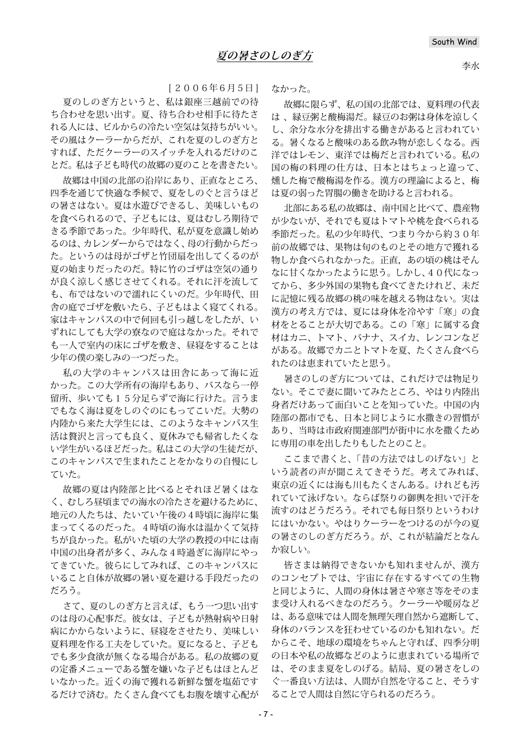李水

[ 2006年6月5日 ]

夏のしのぎ方というと、私は銀座三越前での待 ち合わせを思い出す。夏、待ち合わせ相手に待たさ れる人には、ビルからの冷たい空気は気持ちがいい。 その風はクーラーからだが、これを夏のしのぎ方と すれば、ただクーラーのスイッチを入れるだけのこ とだ。私は子ども時代の故郷の夏のことを書きたい。

故郷は中国の北部の沿岸にあり、正直なところ、 四季を通じて快適な季候で、夏をしのぐと言うほど の暑さはない。夏は水遊びできるし、美味しいもの を食べられるので、子どもには、夏はむしろ期待で きる季節であった。少年時代、私が夏を意識し始め るのは、カレンダーからではなく、母の行動からだっ た。というのは母がゴザと竹団扇を出してくるのが 夏の始まりだったのだ。特に竹のゴザは空気の通り が良く涼しく感じさせてくれる。それに汗を流して も、布ではないので濡れにくいのだ。少年時代、田 舎の庭でゴザを敷いたら、子どもはよく寝てくれる。 家はキャンパスの中で何回も引っ越しをしたが、い ずれにしても大学の寮なので庭はなかった。それで も一人で室内の床にゴザを敷き、昼寝をすることは 少年の僕の楽しみの一つだった。

私の大学のキャンパスは田舎にあって海に近 かった。この大学所有の海岸もあり、バスなら一停 留所、歩いても15分足らずで海に行けた。言うま でもなく海は夏をしのぐのにもってこいだ。大勢の 内陸から来た大学生には、このようなキャンパス生 活は贅沢と言っても良く、夏休みでも帰省したくな い学生がいるほどだった。私はこの大学の生徒だが、 このキャンパスで生まれたことをかなりの自慢にし ていた。

故郷の夏は内陸部と比べるとそれほど暑くはな く、むしろ昼頃までの海水の冷たさを避けるために、 地元の人たちは、たいてい午後の4時頃に海岸に集 まってくるのだった。4時頃の海水は温かくて気持 ちが良かった。私がいた頃の大学の教授の中には南 中国の出身者が多く、みんな4時過ぎに海岸にやっ てきていた。彼らにしてみれば、このキャンパスに いること自体が故郷の暑い夏を避ける手段だったの だろう。

さて、夏のしのぎ方と言えば、もう一つ思い出す のは母の心配事だ。彼女は、子どもが熱射病や日射 病にかからないように、昼寝をさせたり、美味しい 夏料理を作る工夫をしていた。夏になると、子ども でも多少食欲が無くなる場合がある。私の故郷の夏 の定番メニューである蟹を嫌いな子どもはほとんど いなかった。近くの海で獲れる新鮮な蟹を塩茹です るだけで済む。たくさん食べてもお腹を壊す心配が なかった。

故郷に限らず、私の国の北部では、夏料理の代表 は 、緑豆粥と酸梅湯だ。緑豆のお粥は身体を涼しく し、余分な水分を排出する働きがあると言われてい る。暑くなると酸味のある飲み物が恋しくなる。西 洋ではレモン、東洋では梅だと言われている。私の 国の梅の料理の仕方は、日本とはちょっと違って、 燻した梅で酸梅湯を作る。漢方の理論によると、梅 は夏の弱った胃腸の働きを助けると言われる。

北部にある私の故郷は、南中国と比べて、農産物 が少ないが、それでも夏はトマトや桃を食べられる 季節だった。私の少年時代、つまり今から約30年 前の故郷では、果物は旬のものとその地方で獲れる 物しか食べられなかった。正直,あの頃の桃はそん なに甘くなかったように思う。しかし、40代になっ てから、多少外国の果物も食べてきたけれど、未だ に記憶に残る故郷の桃の味を越える物はない。実は 漢方の考え方では、夏には身体を冷やす「寒」の食 材をとることが大切である。この「寒」に属する食 材はカニ、トマト、バナナ、スイカ、レンコンなど がある。故郷でカニとトマトを夏、たくさん食べら れたのは恵まれていたと思う。

暑さのしのぎ方については、これだけでは物足り ない。そこで妻に聞いてみたところ、やはり内陸出 身者だけあって面白いことを知っていた。中国の内 陸部の都市でも、日本と同じように水撒きの習慣が あり、当時は市政府関連部門が街中に水を撒くため に専用の車を出したりもしたとのこと。

ここまで書くと、「昔の方法ではしのげない」と いう読者の声が聞こえてきそうだ。考えてみれば、 東京の近くには海も川もたくさんある。けれども汚 れていて泳げない。ならば祭りの御輿を担いで汗を 流すのはどうだろう。それでも毎日祭りというわけ にはいかない。やはりクーラーをつけるのが今の夏 の暑さのしのぎ方だろう。が、これが結論だとなん か寂しい。

皆さまは納得できないかも知れませんが、漢方 のコンセプトでは、宇宙に存在するすべての生物 と同じように、人間の身体は暑さや寒さ等をそのま ま受け入れるべきなのだろう。クーラーや暖房など は、ある意味では人間を無理矢理自然から遮断して、 身体のバランスを狂わせているのかも知れない。だ からこそ、地球の環境をちゃんと守れば、四季分明 の日本や私の故郷などのように恵まれている場所で は、そのまま夏をしのげる。結局、夏の暑さをしの ぐ一番良い方法は、人間が自然を守ること、そうす ることで人間は自然に守られるのだろう。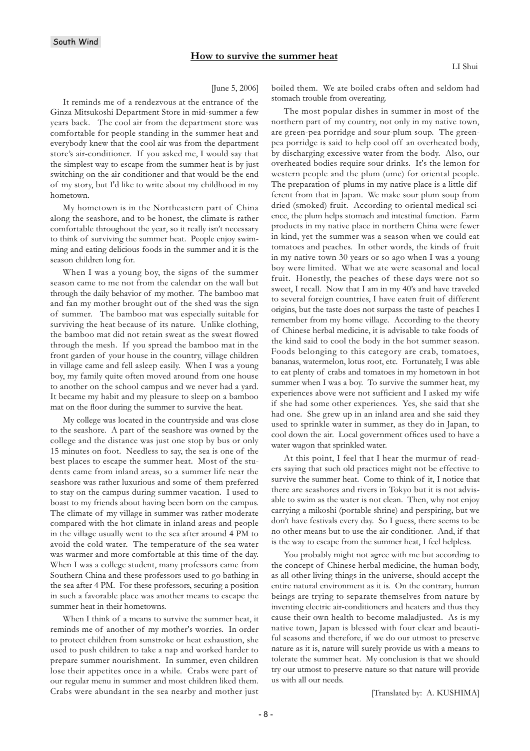#### [June 5, 2006]

It reminds me of a rendezvous at the entrance of the Ginza Mitsukoshi Department Store in mid-summer a few years back. The cool air from the department store was comfortable for people standing in the summer heat and everybody knew that the cool air was from the department store's air-conditioner. If you asked me, I would say that the simplest way to escape from the summer heat is by just switching on the air-conditioner and that would be the end of my story, but I'd like to write about my childhood in my hometown.

My hometown is in the Northeastern part of China along the seashore, and to be honest, the climate is rather comfortable throughout the year, so it really isn't necessary to think of surviving the summer heat. People enjoy swimming and eating delicious foods in the summer and it is the season children long for.

When I was a young boy, the signs of the summer season came to me not from the calendar on the wall but through the daily behavior of my mother. The bamboo mat and fan my mother brought out of the shed was the sign of summer. The bamboo mat was especially suitable for surviving the heat because of its nature. Unlike clothing, the bamboo mat did not retain sweat as the sweat flowed through the mesh. If you spread the bamboo mat in the front garden of your house in the country, village children in village came and fell asleep easily. When I was a young boy, my family quite often moved around from one house to another on the school campus and we never had a yard. It became my habit and my pleasure to sleep on a bamboo mat on the floor during the summer to survive the heat.

My college was located in the countryside and was close to the seashore. A part of the seashore was owned by the college and the distance was just one stop by bus or only 15 minutes on foot. Needless to say, the sea is one of the best places to escape the summer heat. Most of the students came from inland areas, so a summer life near the seashore was rather luxurious and some of them preferred to stay on the campus during summer vacation. I used to boast to my friends about having been born on the campus. The climate of my village in summer was rather moderate compared with the hot climate in inland areas and people in the village usually went to the sea after around 4 PM to avoid the cold water. The temperature of the sea water was warmer and more comfortable at this time of the day. When I was a college student, many professors came from Southern China and these professors used to go bathing in the sea after 4 PM. For these professors, securing a position in such a favorable place was another means to escape the summer heat in their hometowns.

When I think of a means to survive the summer heat, it reminds me of another of my mother's worries. In order to protect children from sunstroke or heat exhaustion, she used to push children to take a nap and worked harder to prepare summer nourishment. In summer, even children lose their appetites once in a while. Crabs were part of our regular menu in summer and most children liked them. Crabs were abundant in the sea nearby and mother just

boiled them. We ate boiled crabs often and seldom had stomach trouble from overeating.

The most popular dishes in summer in most of the northern part of my country, not only in my native town, are green-pea porridge and sour-plum soup. The greenpea porridge is said to help cool off an overheated body, by discharging excessive water from the body. Also, our overheated bodies require sour drinks. It's the lemon for western people and the plum (ume) for oriental people. The preparation of plums in my native place is a little different from that in Japan. We make sour plum soup from dried (smoked) fruit. According to oriental medical science, the plum helps stomach and intestinal function. Farm products in my native place in northern China were fewer in kind, yet the summer was a season when we could eat tomatoes and peaches. In other words, the kinds of fruit in my native town 30 years or so ago when I was a young boy were limited. What we ate were seasonal and local fruit. Honestly, the peaches of these days were not so sweet, I recall. Now that I am in my 40's and have traveled to several foreign countries, I have eaten fruit of different origins, but the taste does not surpass the taste of peaches I remember from my home village. According to the theory of Chinese herbal medicine, it is advisable to take foods of the kind said to cool the body in the hot summer season. Foods belonging to this category are crab, tomatoes, bananas, watermelon, lotus root, etc. Fortunately, I was able to eat plenty of crabs and tomatoes in my hometown in hot summer when I was a boy. To survive the summer heat, my experiences above were not sufficient and I asked my wife if she had some other experiences. Yes, she said that she had one. She grew up in an inland area and she said they used to sprinkle water in summer, as they do in Japan, to cool down the air. Local government offices used to have a water wagon that sprinkled water.

At this point, I feel that I hear the murmur of readers saying that such old practices might not be effective to survive the summer heat. Come to think of it, I notice that there are seashores and rivers in Tokyo but it is not advisable to swim as the water is not clean. Then, why not enjoy carrying a mikoshi (portable shrine) and perspiring, but we don't have festivals every day. So I guess, there seems to be no other means but to use the air-conditioner. And, if that is the way to escape from the summer heat, I feel helpless.

You probably might not agree with me but according to the concept of Chinese herbal medicine, the human body, as all other living things in the universe, should accept the entire natural environment as it is. On the contrary, human beings are trying to separate themselves from nature by inventing electric air-conditioners and heaters and thus they cause their own health to become maladjusted. As is my native town, Japan is blessed with four clear and beautiful seasons and therefore, if we do our utmost to preserve nature as it is, nature will surely provide us with a means to tolerate the summer heat. My conclusion is that we should try our utmost to preserve nature so that nature will provide us with all our needs.

[Translated by: A. KUSHIMA]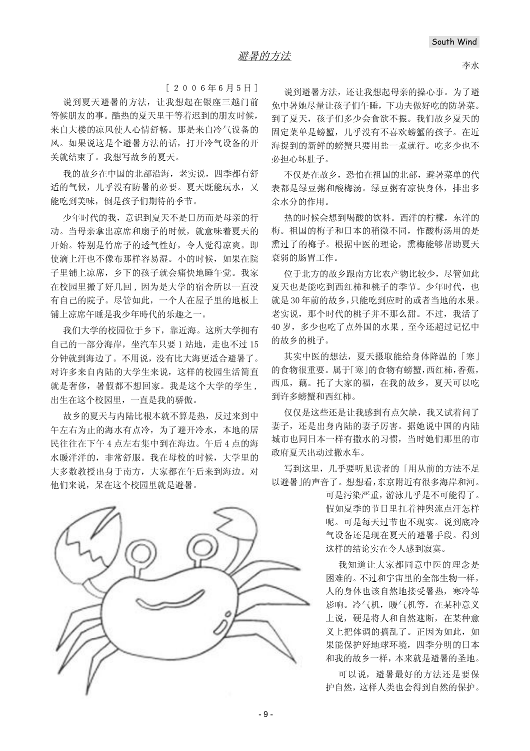$[2006年6月5H]$ 

说到夏天避暑的方法,让我想起在银座三越门前 等候朋友的事。酷热的夏天里干等着迟到的朋友时候, 来自大楼的凉风使人心情舒畅。那是来自冷气设备的 风。如果说这是个避暑方法的话, 打开冷气设备的开 关就结束了。我想写故乡的夏天。

我的故乡在中国的北部沿海, 老实说, 四季都有舒 适的气候, 几乎没有防暑的必要。夏天既能玩水, 又 能吃到美味, 倒是孩子们期待的季节。

少年时代的我, 意识到夏天不是日历而是母亲的行 动。当母亲拿出凉席和扇子的时候, 就意味着夏天的 开始。特别是竹席子的透气性好, 令人觉得凉爽。即 使滴上汗也不像布那样容易湿。小的时候, 如果在院 子里铺上凉席, 乡下的孩子就会痛快地睡午觉。我家 在校园里搬了好几回,因为是大学的宿舍所以一直没 有自己的院子。尽管如此, 一个人在屋子里的地板上 铺上凉席午睡是我少年時代的乐趣之一。

我们大学的校园位于乡下, 靠近海。这所大学拥有 自己的一部分海岸, 坐汽车只要 1 站地, 走也不过 15 分钟就到海边了。不用说, 没有比大海更适合避暑了。 对许多来自内陆的大学生来说, 这样的校园生活简直 就是奢侈,暑假都不想回家。我是这个大学的学生, 出生在这个校园里,一直是我的骄傲。

故乡的夏天与内陆比根本就不算是热,反过来到中 午左右为止的海水有点冷,为了避开冷水,本地的居 民往往在下午4点左右集中到在海边。午后4点的海 水暖洋洋的, 非常舒服。我在母校的时候, 大学里的 大多数教授出身于南方, 大家都在午后来到海边。对 他们来说, 呆在这个校园里就是避暑。



说到避暑方法,还让我想起母亲的操心事。为了避 免中暑她尽量让孩子们午睡,下功夫做好吃的防暑菜。 到了夏天, 孩子们多少会食欲不振。我们故乡夏天的 固定菜单是螃蟹,几乎没有不喜欢螃蟹的孩子。在近 海捉到的新鲜的螃蟹只要用盐一煮就行。吃多少也不 必担心坏肚子。

不仅是在故乡,恐怕在祖国的北部,避暑菜单的代 表都是绿豆粥和酸梅汤。绿豆粥有凉快身体,排出多 会水分的作用。

热的时候会想到喝酸的饮料。西洋的柠檬,东洋的 梅。祖国的梅子和日本的稍微不同, 作酸梅汤用的是 熏过了的梅子。根据中医的理论, 熏梅能够帮助夏天 衰弱的肠胃工作。

位于北方的故乡跟南方比农产物比较少, 尽管如此 夏天也是能吃到西红柿和桃子的季节。少年时代,也 就是 30 年前的故乡, 只能吃到应时的或者当地的水果。 老实说, 那个时代的桃子并不那么甜。不过, 我活了 40岁,多少也吃了点外国的水果,至今还超过记忆中 的故乡的桃子。

其实中医的想法, 夏天摄取能给身体降温的「寒」 的食物很重要。属于「寒」的食物有螃蟹,西红柿,香蕉, 西瓜,藕。托了大家的福,在我的故乡,夏天可以吃 到许多螃蟹和西红柿。

仅仅是这些还是让我感到有点欠缺, 我又试着问了 妻子, 还是出身内陆的妻子厉害。据她说中国的内陆 城市也同日本一样有撒水的习惯, 当时她们那里的市 政府夏天出动过撒水车。

写到这里, 几乎要听见读者的「用从前的方法不足 以避暑」的声音了。想想看,东京附近有很多海岸和河。

> 可是污染严重, 游泳几乎是不可能得了。 假如夏季的节日里打着神舆流点汗怎样 呢。可是每天过节也不现实。说到底冷 气设备还是现在夏天的避暑手段。得到 这样的结论实在令人感到寂寞。

> 我知道让大家都同意中医的理念是 困难的。不过和宇宙里的全部生物一样, 人的身体也该自然地接受暑热, 寒冷等 影响。冷气机, 暖气机等, 在某种意义 上说, 硬是将人和自然遮断, 在某种意 义上把体调的搞乱了。正因为如此, 如 果能保护好地球环境, 四季分明的日本 和我的故乡一样,本来就是避暑的圣地。

> 可以说, 避暑最好的方法还是要保 护自然,这样人类也会得到自然的保护。

- 9 -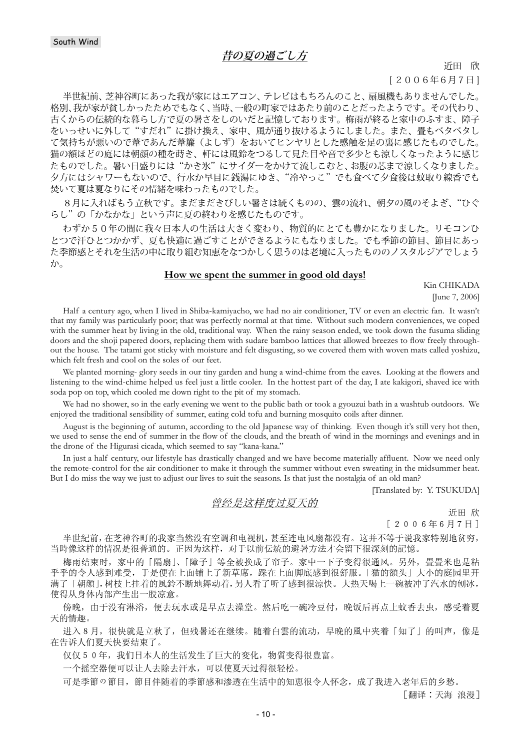# **昔の夏の過ごし方**

近田 欣

[ 2006年6月7日 ]

半世紀前、芝神谷町にあった我が家にはエアコン、テレビはもちろんのこと、扇風機もありませんでした。 格別、我が家が貧しかったためでもなく、当時、一般の町家ではあたり前のことだったようです。その代わり、 古くからの伝統的な暮らし方で夏の暑さをしのいだと記憶しております。梅雨が終ると家中のふすま、障子 をいっせいに外して"すだれ"に掛け換え、家中、風が通り抜けるようにしました。また、畳もベタベタし て気持ちが悪いので葦であんだ葦簾(よしず)をおいてヒンヤリとした感触を足の裏に感じたものでした。 猫の額ほどの庭には朝顔の種を蒔き、軒には風鈴をつるして見た目や音で多少とも涼しくなったように感じ たものでした。暑い日盛りには"かき氷"にサイダーをかけて流しこむと、お腹の芯まで涼しくなりました。 夕方にはシャワーもないので、行水か早目に銭湯にゆき、"冷やっこ"でも食べて夕食後は蚊取り線香でも 焚いて夏は夏なりにその情緒を味わったものでした。

8月に入ればもう立秋です。まだまだきびしい暑さは続くものの、雲の流れ、朝夕の風のそよぎ、"ひぐ らし"の「かなかな」という声に夏の終わりを感じたものです。

わずか50年の間に我々日本人の生活は大きく変わり、物質的にとても豊かになりました。リモコンひ とつで汗ひとつかかず、夏も快適に過ごすことができるようにもなりました。でも季節の節目、節目にあっ た季節感とそれを生活の中に取り組む知恵をなつかしく思うのは老境に入ったもののノスタルジアでしょう か。

#### **How we spent the summer in good old days!**

Kin CHIKADA [June 7, 2006]

Half a century ago, when I lived in Shiba-kamiyacho, we had no air conditioner, TV or even an electric fan. It wasn't that my family was particularly poor; that was perfectly normal at that time. Without such modern conveniences, we coped with the summer heat by living in the old, traditional way. When the rainy season ended, we took down the fusuma sliding doors and the shoji papered doors, replacing them with sudare bamboo lattices that allowed breezes to flow freely throughout the house. The tatami got sticky with moisture and felt disgusting, so we covered them with woven mats called yoshizu, which felt fresh and cool on the soles of our feet.

We planted morning- glory seeds in our tiny garden and hung a wind-chime from the eaves. Looking at the flowers and listening to the wind-chime helped us feel just a little cooler. In the hottest part of the day, I ate kakigori, shaved ice with soda pop on top, which cooled me down right to the pit of my stomach.

We had no shower, so in the early evening we went to the public bath or took a gyouzui bath in a washtub outdoors. We enjoyed the traditional sensibility of summer, eating cold tofu and burning mosquito coils after dinner.

August is the beginning of autumn, according to the old Japanese way of thinking. Even though it's still very hot then, we used to sense the end of summer in the flow of the clouds, and the breath of wind in the mornings and evenings and in the drone of the Higurasi cicada, which seemed to say "kana-kana."

In just a half century, our lifestyle has drastically changed and we have become materially affluent. Now we need only the remote-control for the air conditioner to make it through the summer without even sweating in the midsummer heat. But I do miss the way we just to adjust our lives to suit the seasons. Is that just the nostalgia of an old man?

[Translated by: Y. TSUKUDA]

### 曾经是这样度天的

近田 欣  $[2006年6月7日]$ 

半世紀前, 在芝神谷町的我家当然没有空调和电视机, 甚至连电风扇都没有。这并不等于说我家特别地贫穷, 当時像这样的情况是很普通的。正因为这样,对于以前伝統的避暑方法才会留下很深刻的記憶。

梅雨结束时,家中的「隔扇」、「障子」等全被换成了帘子。家中一下子变得很通风。另外,骨骨米也是粘 乎乎的令人感到难受,于是便在上面铺上了新草席,踩在上面脚底感到很舒服。「猫的額头」大小的庭园里开 满了「朝顔」,树枝上挂着的風鈴不断地舞动着,另人看了听了感到很涼快。大热天喝上一碗被冲了汽水的刨冰, 使得从身体内部产生出一股凉意。

傍晚,由于没有淋浴,便去玩水或是早点去澡堂。然后吃一碗冷豆付,晚饭后再点上蚊香去虫,感受着夏 天的情趣。

进入8月,很快就是立秋了,但残暑还在继续。随着白雲的流动,早晚的風中夹着「知了」的叫声,像是 在告诉人们夏天快要结束了。

仅仅50年,我们日本人的生活发生了巨大的变化,物質变得很豊富。

一个摇空器便可以让人去除去汗水,可以使夏天过得很轻松。

可是季節の節目, 節目伴随着的季節感和渗透在生活中的知恵很令人怀念, 成了我进入老年后的乡愁。

「翻译:天海 浪漫]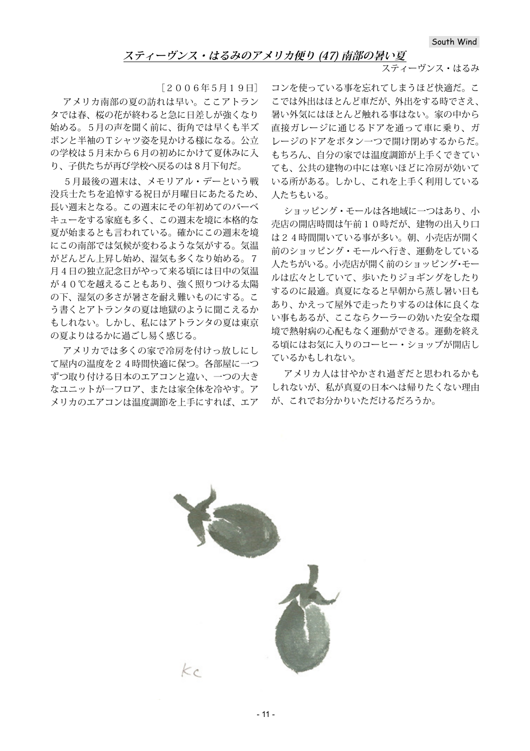## **スティーヴンス・はるみのアメリカ便り (47) 南部の暑い夏**

スティーヴンス・はるみ

[2006年5月19日]

アメリカ南部の夏の訪れは早い。ここアトラン タでは春、桜の花が終わると急に日差しが強くなり 始める。5月の声を聞く前に、街角では早くも半ズ ボンと半袖のTシャツ姿を見かける様になる。公立 の学校は5月末から6月の初めにかけて夏休みに入 り、子供たちが再び学校へ戻るのは8月下旬だ。

5月最後の週末は、メモリアル・デーという戦 没兵士たちを追悼する祝日が月曜日にあたるため、 長い週末となる。この週末にその年初めてのバーベ キューをする家庭も多く、この週末を境に本格的な 夏が始まるとも言われている。確かにこの週末を境 にこの南部では気候が変わるような気がする。気温 がどんどん上昇し始め、湿気も多くなり始める。7 月4日の独立記念日がやって来る頃には日中の気温 が40℃を越えることもあり、強く照りつける太陽 の下、湿気の多さが暑さを耐え難いものにする。こ う書くとアトランタの夏は地獄のように聞こえるか もしれない。しかし、私にはアトランタの夏は東京 の夏よりはるかに過ごし易く感じる。

アメリカでは多くの家で冷房を付けっ放しにし て屋内の温度を24時間快適に保つ。各部屋に一つ ずつ取り付ける日本のエアコンと違い、一つの大き なユニットが一フロア、または家全体を冷やす。ア メリカのエアコンは温度調節を上手にすれば、エア

コンを使っている事を忘れてしまうほど快適だ。こ こでは外出はほとんど車だが、外出をする時でさえ、 暑い外気にはほとんど触れる事はない。家の中から 直接ガレージに通じるドアを通って車に乗り、ガ レージのドアをボタン一つで開け閉めするからだ。 もちろん、自分の家では温度調節が上手くできてい ても、公共の建物の中には寒いほどに冷房が効いて いる所がある。しかし、これを上手く利用している 人たちもいる。

ショッピング・モールは各地域に一つはあり、小 売店の開店時間は午前10時だが、建物の出入り口 は24時間開いている事が多い。朝、小売店が開く 前のショッピング・モールへ行き、運動をしている 人たちがいる。小売店が開く前のショッピング・モー ルは広々としていて、歩いたりジョギングをしたり するのに最適。真夏になると早朝から蒸し暑い日も あり、かえって屋外で走ったりするのは体に良くな い事もあるが、ここならクーラーの効いた安全な環 境で熱射病の心配もなく運動ができる。運動を終え る頃にはお気に入りのコーヒー・ショップが開店し ているかもしれない。

アメリカ人は甘やかされ過ぎだと思われるかも しれないが、私が真夏の日本へは帰りたくない理由 が、これでお分かりいただけるだろうか。

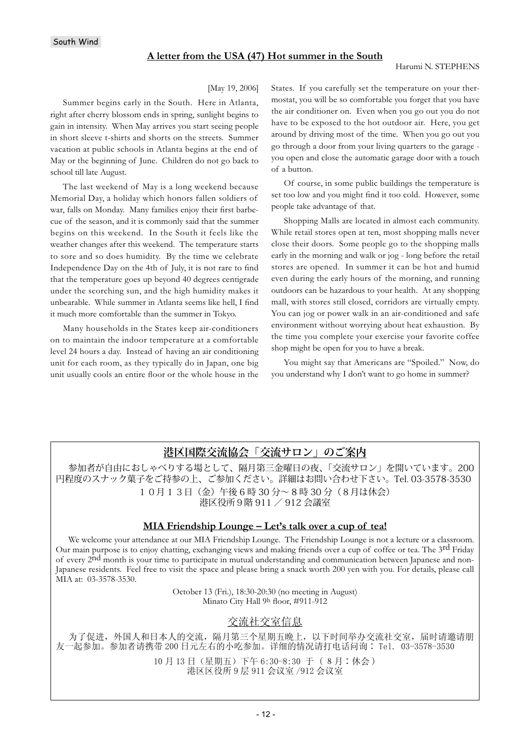## **A letter from the USA (47) Hot summer in the South**

#### Harumi N. STEPHENS

#### [May 19, 2006]

Summer begins early in the South. Here in Atlanta, right after cherry blossom ends in spring, sunlight begins to gain in intensity. When May arrives you start seeing people in short sleeve t-shirts and shorts on the streets. Summer vacation at public schools in Atlanta begins at the end of May or the beginning of June. Children do not go back to school till late August.

The last weekend of May is a long weekend because Memorial Day, a holiday which honors fallen soldiers of war, falls on Monday. Many families enjoy their first barbecue of the season, and it is commonly said that the summer begins on this weekend. In the South it feels like the weather changes after this weekend. The temperature starts to sore and so does humidity. By the time we celebrate Independence Day on the 4th of July, it is not rare to find that the temperature goes up beyond 40 degrees centigrade under the scorching sun, and the high humidity makes it unbearable. While summer in Atlanta seems like hell, I find it much more comfortable than the summer in Tokyo.

Many households in the States keep air-conditioners on to maintain the indoor temperature at a comfortable level 24 hours a day. Instead of having an air conditioning unit for each room, as they typically do in Japan, one big unit usually cools an entire floor or the whole house in the States. If you carefully set the temperature on your thermostat, you will be so comfortable you forget that you have the air conditioner on. Even when you go out you do not have to be exposed to the hot outdoor air. Here, you get around by driving most of the time. When you go out you go through a door from your living quarters to the garage you open and close the automatic garage door with a touch of a button.

Of course, in some public buildings the temperature is set too low and you might find it too cold. However, some people take advantage of that.

Shopping Malls are located in almost each community. While retail stores open at ten, most shopping malls never close their doors. Some people go to the shopping malls early in the morning and walk or jog - long before the retail stores are opened. In summer it can be hot and humid even during the early hours of the morning, and running outdoors can be hazardous to your health. At any shopping mall, with stores still closed, corridors are virtually empty. You can jog or power walk in an air-conditioned and safe environment without worrying about heat exhaustion. By the time you complete your exercise your favorite coffee shop might be open for you to have a break.

You might say that Americans are "Spoiled." Now, do you understand why I don't want to go home in summer?

# **港区国際交流協会「交流サロン」のご案内**

参加者が自由におしゃべりする場として、隔月第三金曜日の夜、「交流サロン」を開いています。200 円程度のスナック菓子をご持参の上、ご参加ください。詳細はお問い合わせ下さい。Tel. 03-3578-3530 1 0月 1 3日(金)午後 6 時 30 分~ 8 時 30 分(8月は休会) 港区役所9階 911 / 912 会議室

## **MIA Friendship Lounge – Let's talk over a cup of tea!**

We welcome your attendance at our MIA Friendship Lounge. The Friendship Lounge is not a lecture or a classroom. Our main purpose is to enjoy chatting, exchanging views and making friends over a cup of coffee or tea. The 3rd Friday of every 2nd month is your time to participate in mutual understanding and communication between Japanese and non-Japanese residents. Feel free to visit the space and please bring a snack worth 200 yen with you. For details, please call MIA at: 03-3578-3530.

> October 13 (Fri.), 18:30-20:30 (no meeting in August) Minato City Hall 9h floor, #911-912

# 交流社交室信息

为了促进,外国人和日本人的交流,隔月第三个星期五晚上,以下时间举办交流社交室,届时请邀请朋 友一起参加。参加者请携带 200 日元左右的小吃参加。详细的情况请打电话问询: Tel. 03-3578-3530

> 10月13日 (星期五) 下午 6:30-8:30 于 (8月:休会) 港区区役所 9 层 911 会议室 /912 会议室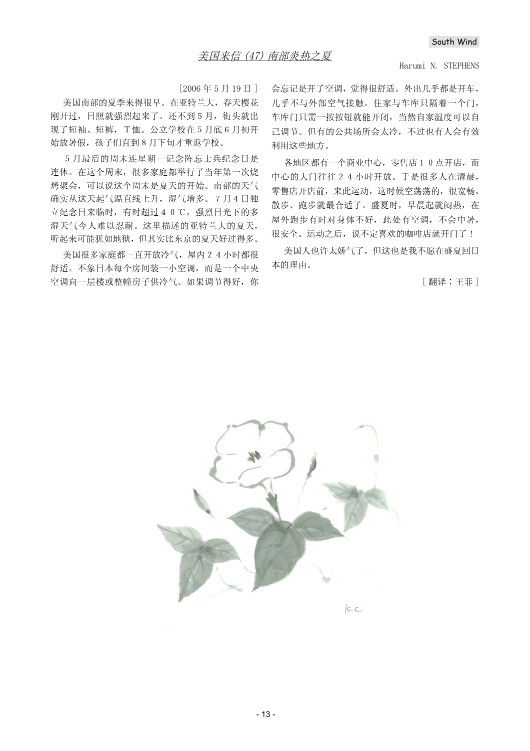#### Harumi N. STEPHENS

 $[2006$ 年5月19日]

美国南部的夏季来得很早。在亚特兰大,春天樱花 刚开过, 日照就强烈起来了。还不到5月, 街头就出 现了短袖、短裤, T恤。公立学校在 5 月底 6 月初开 始放暑假, 孩子们直到8月下旬才重返学校。

5月最后的周末连星期一记念阵忘士兵纪念日是 连休。在这个周末,很多家庭都举行了当年第一次烧 烤聚会,可以说这个周末是夏天的开始。南部的天气 确实从这天起气温直线上升, 湿气增多。7月4日独 立纪念日来临时, 有时超过40℃, 强烈日光下的多 湿天气今人难以忍耐。这里描述的亚特兰大的夏天, 听起来可能犹如地狱,但其实比东京的夏天好过得多。

美国很多家庭都一直开放冷气, 屋内 2 4 小时都很 舒适。不象日本每个房间装一小空调,而是一个中央 空调向一层楼或整幢房子供冷气。如果调节得好, 你 会忘记是开了空调, 觉得很舒适。外出几乎都是开车, 几乎不与外部空气接触。住家与车库只隔着一个门, 车库门只需一按按钮就能开闭, 当然自家温度可以自 己调节。但有的公共场所会太冷,不过也有人会有效 利用这些地方。

各地区都有一个商业中心, 零售店 1 0 点开店, 而 中心的大门往往24小时开放。于是很多人在清晨, 零售店开店前,来此运动,这时候空荡荡的,很宽畅, 散步、跑步就最合适了。盛夏时, 早晨起就闷热, 在 屋外跑步有时对身体不好, 此处有空调, 不会中暑, 很安全。运动之后, 说不定喜欢的咖啡店就开门了!

美国人也许太娇气了, 但这也是我不愿在盛夏回日 本的理由。

[翻译:王菲]

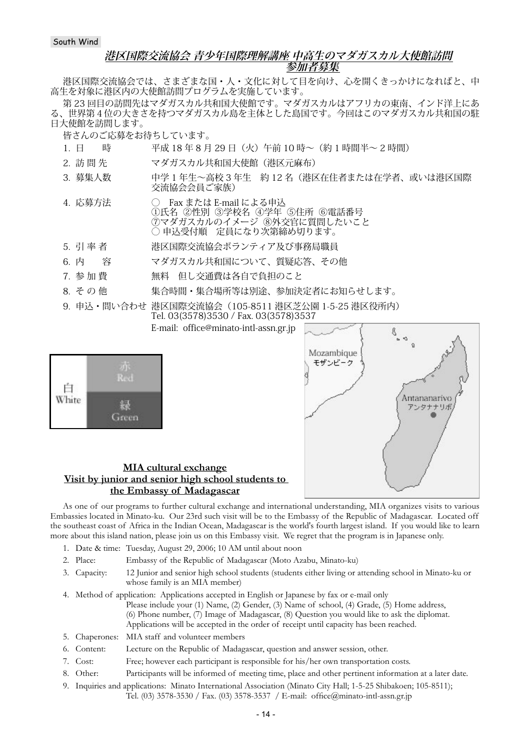## **港区国際交流協会 青少年国際理解講座 中高生のマダガスカル大使館訪問 参加者募集**

港区国際交流協会では、さまざまな国・人・文化に対して目を向け、心を開くきっかけになればと、中 高生を対象に港区内の大使館訪問プログラムを実施しています。

第 23 回目の訪問先はマダガスカル共和国大使館です。マダガスカルはアフリカの東南、インド洋上にあ る、世界第4位の大きさを持つマダガスカル島を主体とした島国です。今回はこのマダガスカル共和国の駐 日大使館を訪問します。

皆さんのご応募をお待ちしています。

- 1. 日 時 平成 18 年 8 月 29 日(火)午前 10 時~(約 1 時間半~ 2 時間)
- 2. 訪 間 先 マダガスカル共和国大使館 (港区元麻布)
- 3. 募集人数 中学 1 年生~高校 3 年生 約 12 名(港区在住者または在学者、或いは港区国際 交流協会会員ご家族)
- 4. 応募方法 → Fax または E-mail による申込 ①氏名 ②性別 ③学校名 ④学年 ⑤住所 ⑥電話番号 ⑦マダガスカルのイメージ ⑧外交官に質問したいこと ○ 申込受付順 定員になり次第締め切ります。
- 5. 引率者 イング 港区国際交流協会ボランティア及び事務局職員
- 6. 内 容 マダガスカル共和国について、質疑応答、その他
- 7. 参加費 アンエン 無料 但し交通費は各自で負担のこと
- 8. その他 実合時間・集合場所等は別途、参加決定者にお知らせします。
- 9. 申込・問い合わせ 港区国際交流協会(105-8511 港区芝公園 1-5-25 港区役所内) Tel. 03(3578)3530 / Fax. 03(3578)3537

E-mail: office@minato-intl-assn.gr.jp

| White |       |
|-------|-------|
|       | areen |



## **MIA cultural exchange Visit by junior and senior high school students to the Embassy of Madagascar**

As one of our programs to further cultural exchange and international understanding, MIA organizes visits to various Embassies located in Minato-ku. Our 23rd such visit will be to the Embassy of the Republic of Madagascar. Located off the southeast coast of Africa in the Indian Ocean, Madagascar is the world's fourth largest island. If you would like to learn more about this island nation, please join us on this Embassy visit. We regret that the program is in Japanese only.

- 1. Date & time: Tuesday, August 29, 2006; 10 AM until about noon
- 2. Place: Embassy of the Republic of Madagascar (Moto Azabu, Minato-ku)
- 3. Capacity: 12 Junior and senior high school students (students either living or attending school in Minato-ku or whose family is an MIA member)
- 4. Method of application: Applications accepted in English or Japanese by fax or e-mail only
	- Please include your (1) Name, (2) Gender, (3) Name of school, (4) Grade, (5) Home address, (6) Phone number, (7) Image of Madagascar, (8) Question you would like to ask the diplomat.
	- Applications will be accepted in the order of receipt until capacity has been reached.
- 5. Chaperones: MIA staff and volunteer members
- 6. Content: Lecture on the Republic of Madagascar, question and answer session, other.
- 7. Cost: Free; however each participant is responsible for his/her own transportation costs.
- 8. Other: Participants will be informed of meeting time, place and other pertinent information at a later date.
- 9. Inquiries and applications: Minato International Association (Minato City Hall; 1-5-25 Shibakoen; 105-8511); Tel. (03) 3578-3530 / Fax. (03) 3578-3537 / E-mail: office@minato-intl-assn.gr.jp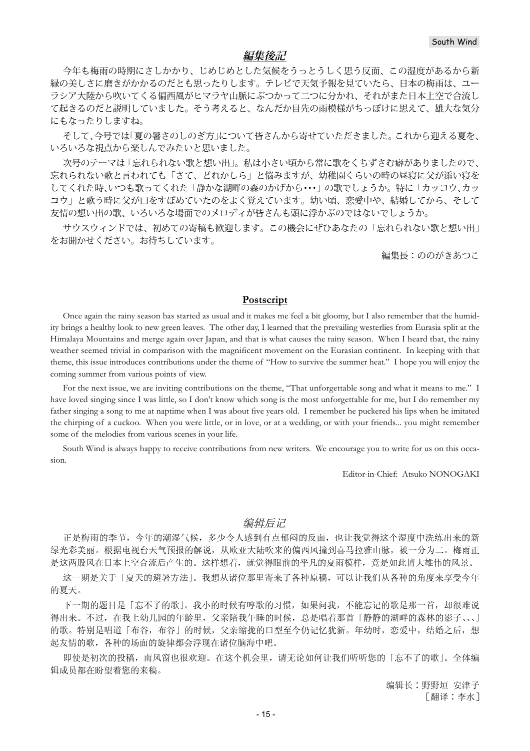# **編集後記**

今年も梅雨の時期にさしかかり、じめじめとした気候をうっとうしく思う反面、この湿度があるから新 緑の美しさに磨きがかかるのだとも思ったりします。テレビで天気予報を見ていたら、日本の梅雨は、ユー ラシア大陸から吹いてくる偏西風がヒマラヤ山脈にぶつかって二つに分かれ、それがまた日本上空で合流し て起きるのだと説明していました。そう考えると、なんだか目先の雨模様がちっぽけに思えて、雄大な気分 にもなったりしますね。

そして、今号では「夏の暑さのしのぎ方」について皆さんから寄せていただきました。これから迎える夏を、 いろいろな視点から楽しんでみたいと思いました。

次号のテーマは「忘れられない歌と想い出」。私は小さい頃から常に歌をくちずさむ癖がありましたので、 忘れられない歌と言われても「さて、どれかしら」と悩みますが、幼稚園くらいの時の昼寝に父が添い寝を してくれた時、いつも歌ってくれた「静かな湖畔の森のかげから・・・」の歌でしょうか。特に「カッコウ、カッ コウ」と歌う時に父が口をすぼめていたのをよく覚えています。幼い頃、恋愛中や、結婚してから、そして 友情の想い出の歌、いろいろな場面でのメロディが皆さんも頭に浮かぶのではないでしょうか。

サウスウィンドでは、初めての寄稿も歓迎します。この機会にぜひあなたの「忘れられない歌と想い出」 をお聞かせください。お待ちしています。

編集長:ののがきあつこ

#### **Postscript**

Once again the rainy season has started as usual and it makes me feel a bit gloomy, but I also remember that the humidity brings a healthy look to new green leaves. The other day, I learned that the prevailing westerlies from Eurasia split at the Himalaya Mountains and merge again over Japan, and that is what causes the rainy season. When I heard that, the rainy weather seemed trivial in comparison with the magnificent movement on the Eurasian continent. In keeping with that theme, this issue introduces contributions under the theme of "How to survive the summer heat." I hope you will enjoy the coming summer from various points of view.

For the next issue, we are inviting contributions on the theme, "That unforgettable song and what it means to me." I have loved singing since I was little, so I don't know which song is the most unforgettable for me, but I do remember my father singing a song to me at naptime when I was about five years old. I remember he puckered his lips when he imitated the chirping of a cuckoo. When you were little, or in love, or at a wedding, or with your friends... you might remember some of the melodies from various scenes in your life.

South Wind is always happy to receive contributions from new writers. We encourage you to write for us on this occasion.

Editor-in-Chief: Atsuko NONOGAKI

### 编辑后记

正是梅雨的季节, 今年的潮湿气候, 多少令人感到有点郁闷的反面, 也让我觉得这个湿度中洗练出来的新 绿光彩美丽。根据电视台天气预报的解说, 从欧亚大陆吹来的偏西风撞到喜马拉雅山脉, 被一分为二。梅雨正 是这两股风在日本上空合流后产生的。这样想着,就觉得眼前的平凡的夏雨模样,竟是如此博大雄伟的风景。

这一期是关于「夏天的避暑方法」。我想从诸位那里寄来了各种原稿,可以让我们从各种的角度来享受今年 的夏天。

下一期的题目是「忘不了的歌」。我小的时候有哼歌的习惯,如果问我,不能忘记的歌是那一首,却很难说 得出来。不过,在我上幼儿园的年龄里,父亲陪我午睡的时候,总是唱着那首「静静的湖畔的森林的影子、、」 的歌。特别是唱道「布谷,布谷」的时候,父亲缩拢的口型至今仍记忆犹新。年幼时,恋爱中,结婚之后,想 起友情的歌, 各种的场面的旋律都会浮现在诸位脑海中吧。

即使是初次的投稿,南风窗也很欢迎。在这个机会里,请无论如何让我们听听您的「忘不了的歌」。全体编 辑成员都在盼望着您的来稿。

> 编辑长:野野垣 安津子 [翻译:李水]